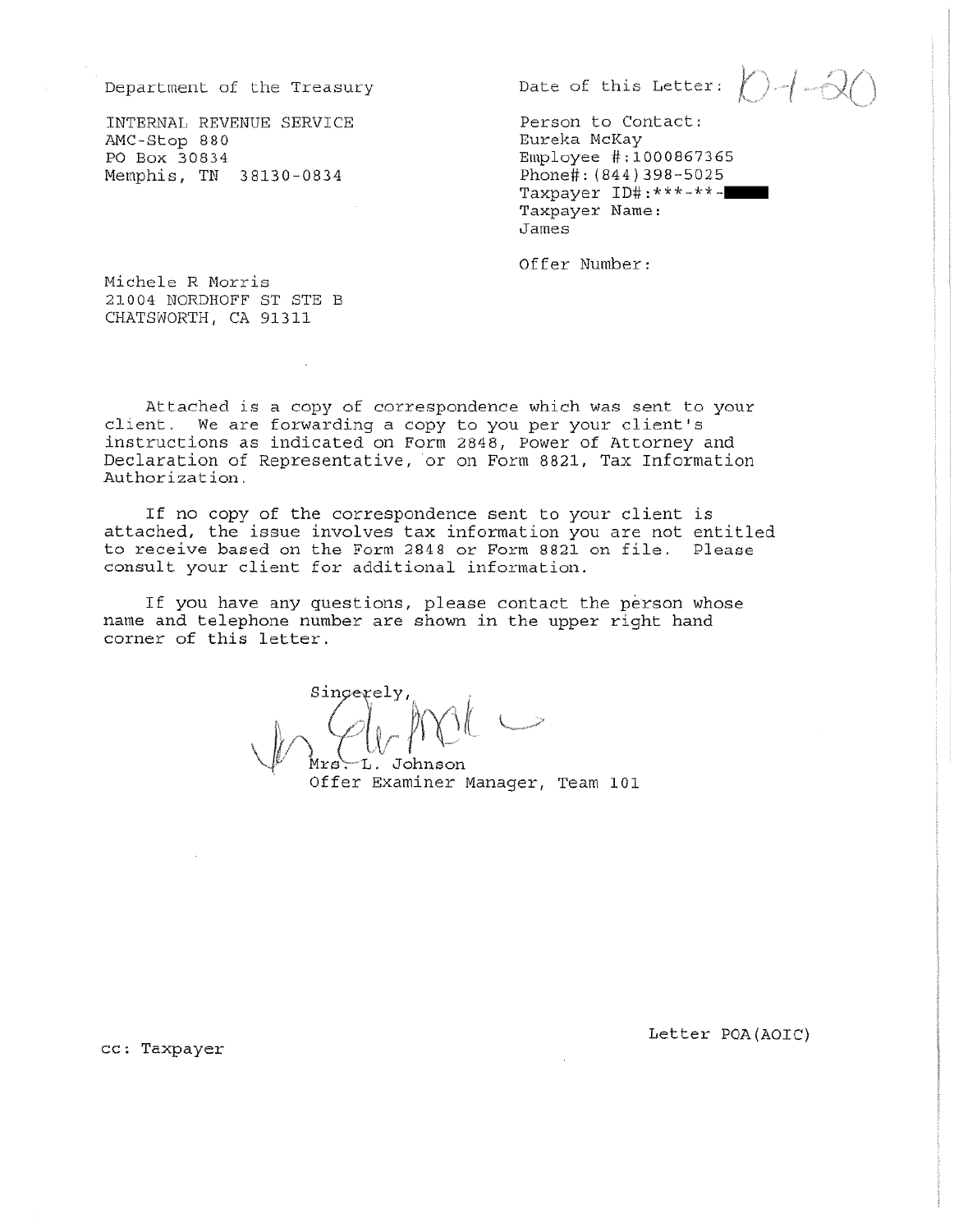Department of the Treasury

INTERNAL REVENUE SERVICE AMC-Stop 880 PO Box 30834 Memphis, TN 38130-0834

Date of this Letter:  $\bigcap_{i} \bigcap_{j} \bigcap_{j}$ 

Person to Contact: Eureka McKay Employee #:1000867365 Phone#: (844) 398-5025 Taxpayer ID#: \*\*\*-\*\*-Taxpayer Name: James

Offer Number:

Michele R Morris 21004 NORDHOFF ST STE B CHATSWORTH, CA 91311

Attached is a copy of correspondence which was sent to your client. We are forwarding a copy to you per your client's instructions as indicated on Form 2848, Power of Attorney and Declaration of Representative, or on Form 8821, Tax Information Authorization.

If no copy of the correspondence sent to your client is attached, the issue involves tax information you are not entitled to receive based on the Form 2848 or Form 8821 on file. Please consult your client for additional information.

If you have any questions, please contact the person whose name and telephone number are shown in the upper right hand corner of this letter.

L. Johnson

Offer Examiner Manager, Team 101

cc: Taxpayer

Letter POA (AOIC)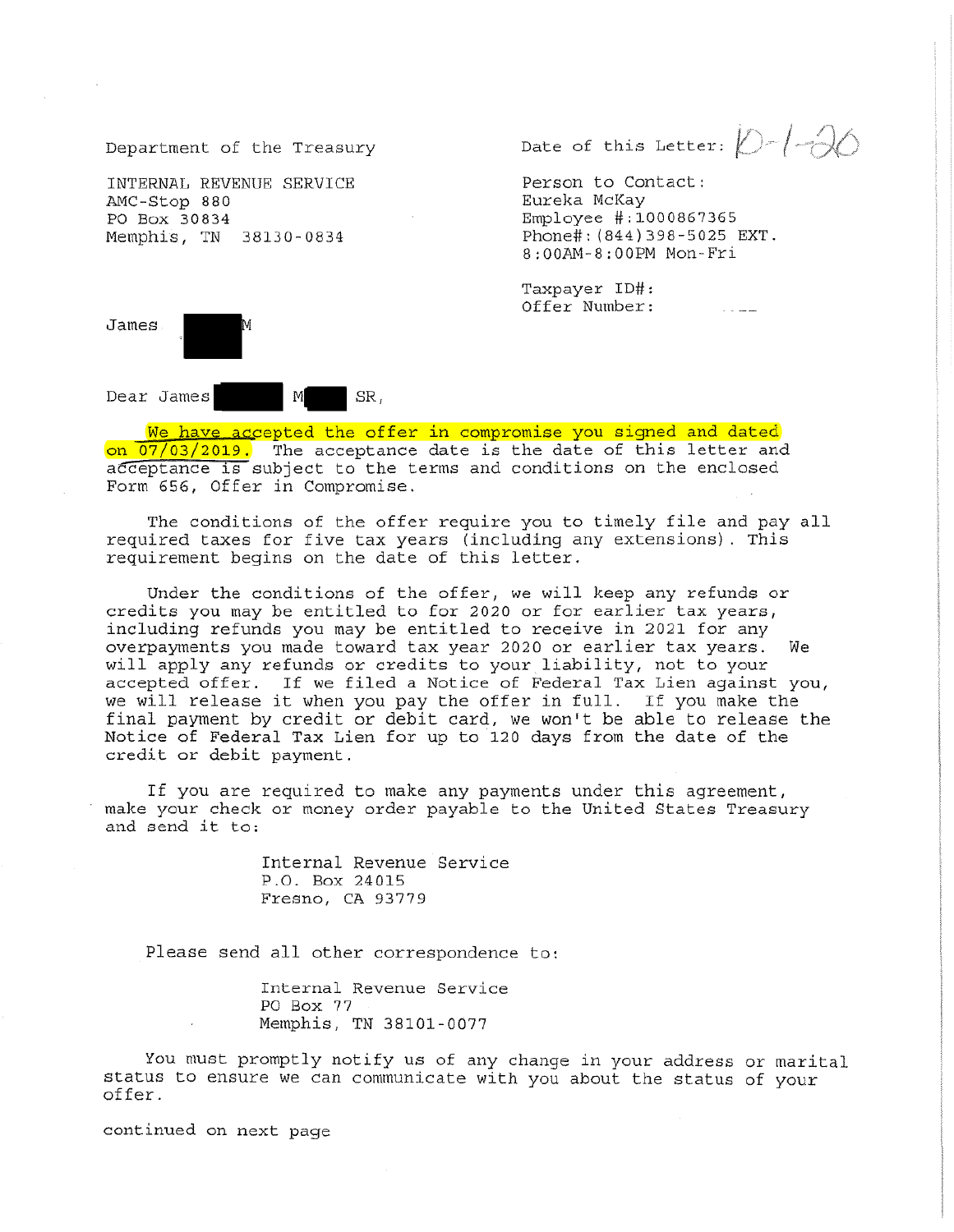Department of the Treasury

INTERNAL REVENUE SERVICE AMC-Stop 880 PO Box 30834 Memphis, TN 38130-0834

Date of this Letter:  $\bigcirc$  /-1-10

Person to Contact: Eureka McKay Employee #:1000867365 Phone#: (844) 398-5025 EXT. 8:00AM-8:00PM Mon-Fri

Taxpayer ID#: Offer Number:



 $M$ Dear James SR,

We have accepted the offer in compromise you signed and dated on 07/03/2019. The acceptance date is the date of this letter and acceptance is subject to the terms and conditions on the enclosed Form 656, Offer in Compromise.

The conditions of the offer require you to timely file and pay all required taxes for five tax years (including any extensions). This requirement begins on the date of this letter.

Under the conditions of the offer, we will keep any refunds or credits you may be entitled to for 2020 or for earlier tax years, including refunds you may be entitled to receive in 2021 for any overpayments you made toward tax year 2020 or earlier tax years. Wе will apply any refunds or credits to your liability, not to your accepted offer. If we filed a Notice of Federal Tax Lien against you, we will release it when you pay the offer in full. If you make the final payment by credit or debit card, we won't be able to release the Notice of Federal Tax Lien for up to 120 days from the date of the credit or debit payment.

If you are required to make any payments under this agreement, make your check or money order payable to the United States Treasury and send it to:

> Internal Revenue Service P.O. Box 24015 Fresno, CA 93779

Please send all other correspondence to:

Internal Revenue Service PO Box 77 Memphis, TN 38101-0077

You must promptly notify us of any change in your address or marital status to ensure we can communicate with you about the status of your offer.

continued on next page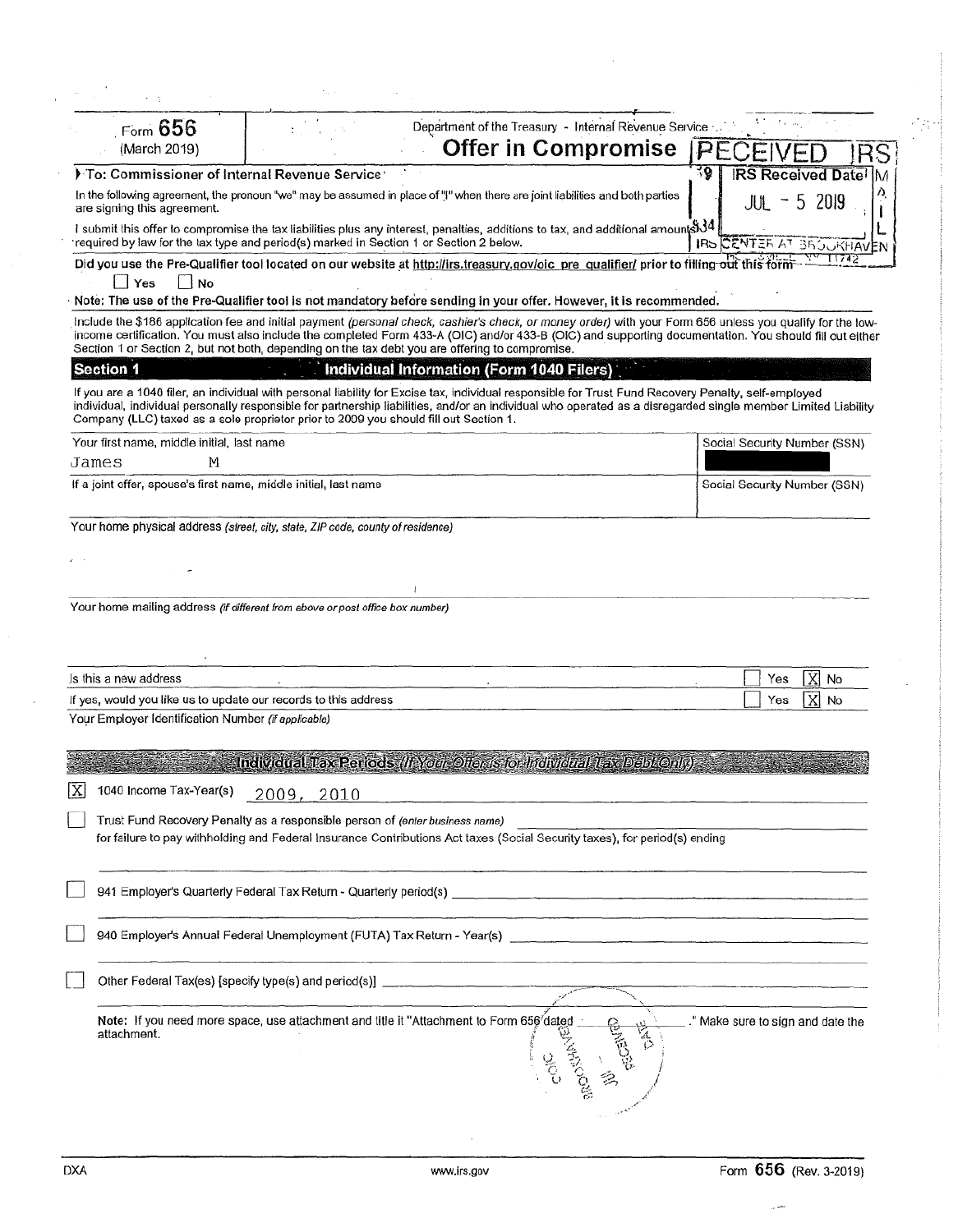| Form 656                                                                                                                                                                                                                                                                                                                                                                                                                |                                                                        | Department of the Treasury - Internal Revenue Service |    |     |                                   |                                  |
|-------------------------------------------------------------------------------------------------------------------------------------------------------------------------------------------------------------------------------------------------------------------------------------------------------------------------------------------------------------------------------------------------------------------------|------------------------------------------------------------------------|-------------------------------------------------------|----|-----|-----------------------------------|----------------------------------|
| (March 2019)                                                                                                                                                                                                                                                                                                                                                                                                            |                                                                        | Offer in Compromise                                   |    |     |                                   |                                  |
| To: Commissioner of Internal Revenue Service                                                                                                                                                                                                                                                                                                                                                                            |                                                                        |                                                       |    | ₹Q. |                                   | <b>IRS Received Date</b><br>١M   |
| In the following agreement, the pronoun "we" may be assumed in place of "!" when there are joint liabilities and both parties<br>are signing this agreement.                                                                                                                                                                                                                                                            |                                                                        |                                                       |    |     | $\overline{\phantom{a}}$<br>. JUN | 5 2019                           |
| I submit this offer to compromise the tax liabilities plus any interest, penalties, additions to tax, and additional amount \$34<br>required by law for the tax type and period(s) marked in Section 1 or Section 2 below.                                                                                                                                                                                              |                                                                        |                                                       |    |     |                                   | IRS CENTER AT 35 JUKHAVEN        |
| Did you use the Pre-Qualifier tool located on our website at http://irs.treasury.gov/oic_pre_qualifier/ prior to filling out this forn<br>No.<br>Yes                                                                                                                                                                                                                                                                    |                                                                        |                                                       |    |     |                                   | 11742                            |
| Note: The use of the Pre-Qualifier tool is not mandatory before sending in your offer. However, it is recommended.                                                                                                                                                                                                                                                                                                      |                                                                        |                                                       |    |     |                                   |                                  |
| Include the \$186 application fee and initial payment (personal check, cashier's check, or money order) with your Form 656 unless you qualify for the low-<br>income certification. You must also include the completed Form 433-A (OIC) and/or 433-B (OIC) and supporting documentation. You should fill out either<br>Section 1 or Section 2, but not both, depending on the tax debt you are offering to compromise. |                                                                        |                                                       |    |     |                                   |                                  |
| Section 1                                                                                                                                                                                                                                                                                                                                                                                                               |                                                                        | Individual Information (Form 1040 Filers)             |    |     |                                   |                                  |
| If you are a 1040 filer, an individual with personal liability for Excise tax, individual responsible for Trust Fund Recovery Penalty, self-employed<br>individual, individual personally responsible for partnership liabilities, and/or an individual who operated as a disregarded single member Limited Liability<br>Company (LLC) taxed as a sole proprietor prior to 2009 you should fill out Section 1.          |                                                                        |                                                       |    |     |                                   |                                  |
| Your first name, middle initial, last name                                                                                                                                                                                                                                                                                                                                                                              |                                                                        |                                                       |    |     |                                   | Social Security Number (SSN)     |
| М<br>James                                                                                                                                                                                                                                                                                                                                                                                                              |                                                                        |                                                       |    |     |                                   |                                  |
| If a joint offer, spouse's first name, middle initial, last name                                                                                                                                                                                                                                                                                                                                                        |                                                                        |                                                       |    |     |                                   | Social Security Number (SSN)     |
| Your home physical address (street, city, state, ZIP code, county of residence)                                                                                                                                                                                                                                                                                                                                         |                                                                        |                                                       |    |     |                                   |                                  |
|                                                                                                                                                                                                                                                                                                                                                                                                                         |                                                                        |                                                       |    |     |                                   |                                  |
|                                                                                                                                                                                                                                                                                                                                                                                                                         |                                                                        |                                                       |    |     |                                   |                                  |
|                                                                                                                                                                                                                                                                                                                                                                                                                         |                                                                        |                                                       |    |     |                                   |                                  |
| Your home mailing address (if different from above or post office box number)                                                                                                                                                                                                                                                                                                                                           |                                                                        |                                                       |    |     |                                   |                                  |
|                                                                                                                                                                                                                                                                                                                                                                                                                         |                                                                        |                                                       |    |     |                                   |                                  |
| Is this a new address                                                                                                                                                                                                                                                                                                                                                                                                   |                                                                        |                                                       |    |     | Yes                               | $\mathbf{X}$<br>No               |
| If yes, would you like us to update our records to this address                                                                                                                                                                                                                                                                                                                                                         |                                                                        |                                                       |    |     | Yes                               | XI<br>No                         |
| Your Employer Identification Number (if applicable)                                                                                                                                                                                                                                                                                                                                                                     |                                                                        |                                                       |    |     |                                   |                                  |
|                                                                                                                                                                                                                                                                                                                                                                                                                         |                                                                        |                                                       |    |     |                                   |                                  |
|                                                                                                                                                                                                                                                                                                                                                                                                                         | Individual Tax Periods (If Your Offer is for Individual Tax Debt Only) |                                                       |    |     |                                   |                                  |
| 1040 Income Tax-Year(s)                                                                                                                                                                                                                                                                                                                                                                                                 | 2009, 2010                                                             |                                                       |    |     |                                   |                                  |
| Trust Fund Recovery Penalty as a responsible person of <i>(enter business name)</i>                                                                                                                                                                                                                                                                                                                                     |                                                                        |                                                       |    |     |                                   |                                  |
| for failure to pay withholding and Federal Insurance Contributions Act taxes (Social Security taxes), for period(s) ending                                                                                                                                                                                                                                                                                              |                                                                        |                                                       |    |     |                                   |                                  |
|                                                                                                                                                                                                                                                                                                                                                                                                                         |                                                                        |                                                       |    |     |                                   |                                  |
|                                                                                                                                                                                                                                                                                                                                                                                                                         |                                                                        |                                                       |    |     |                                   |                                  |
|                                                                                                                                                                                                                                                                                                                                                                                                                         |                                                                        |                                                       |    |     |                                   |                                  |
| 940 Employer's Annual Federal Unemployment (FUTA) Tax Return - Year(s)                                                                                                                                                                                                                                                                                                                                                  |                                                                        |                                                       |    |     |                                   |                                  |
| Other Federal Tax(es) [specify type(s) and period(s)] ___________________________                                                                                                                                                                                                                                                                                                                                       |                                                                        |                                                       |    |     |                                   |                                  |
| Note: If you need more space, use attachment and title it "Attachment to Form 656 dated<br>attachment.                                                                                                                                                                                                                                                                                                                  |                                                                        | <b>ERNANGO</b>                                        | ţ2 |     |                                   | " Make sure to sign and date the |
|                                                                                                                                                                                                                                                                                                                                                                                                                         |                                                                        |                                                       |    |     |                                   |                                  |

 $\mathcal{F}_{\mathrm{c}}$  .

 $\sim$